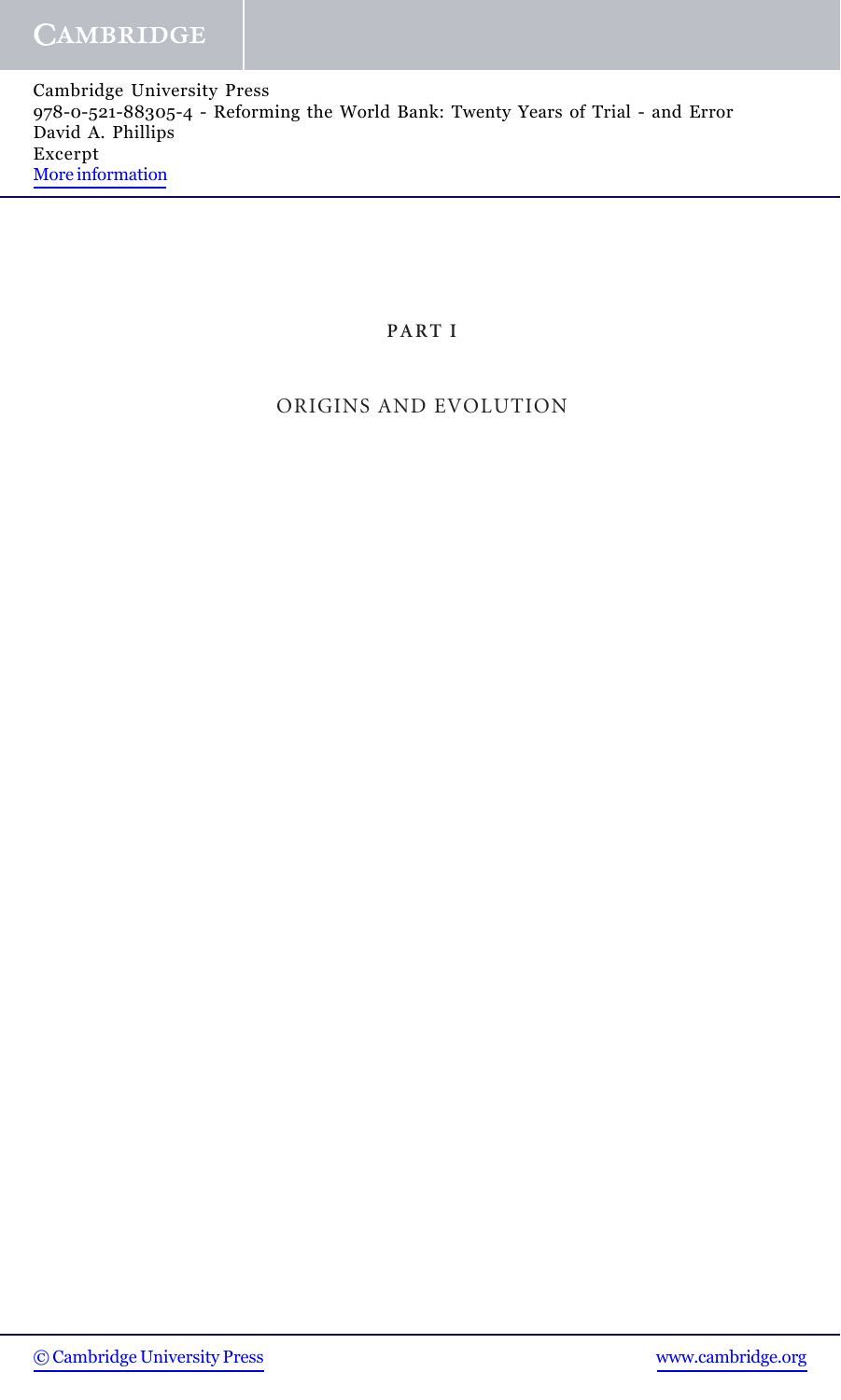## PART I

ORIGINS AND EVOLUTION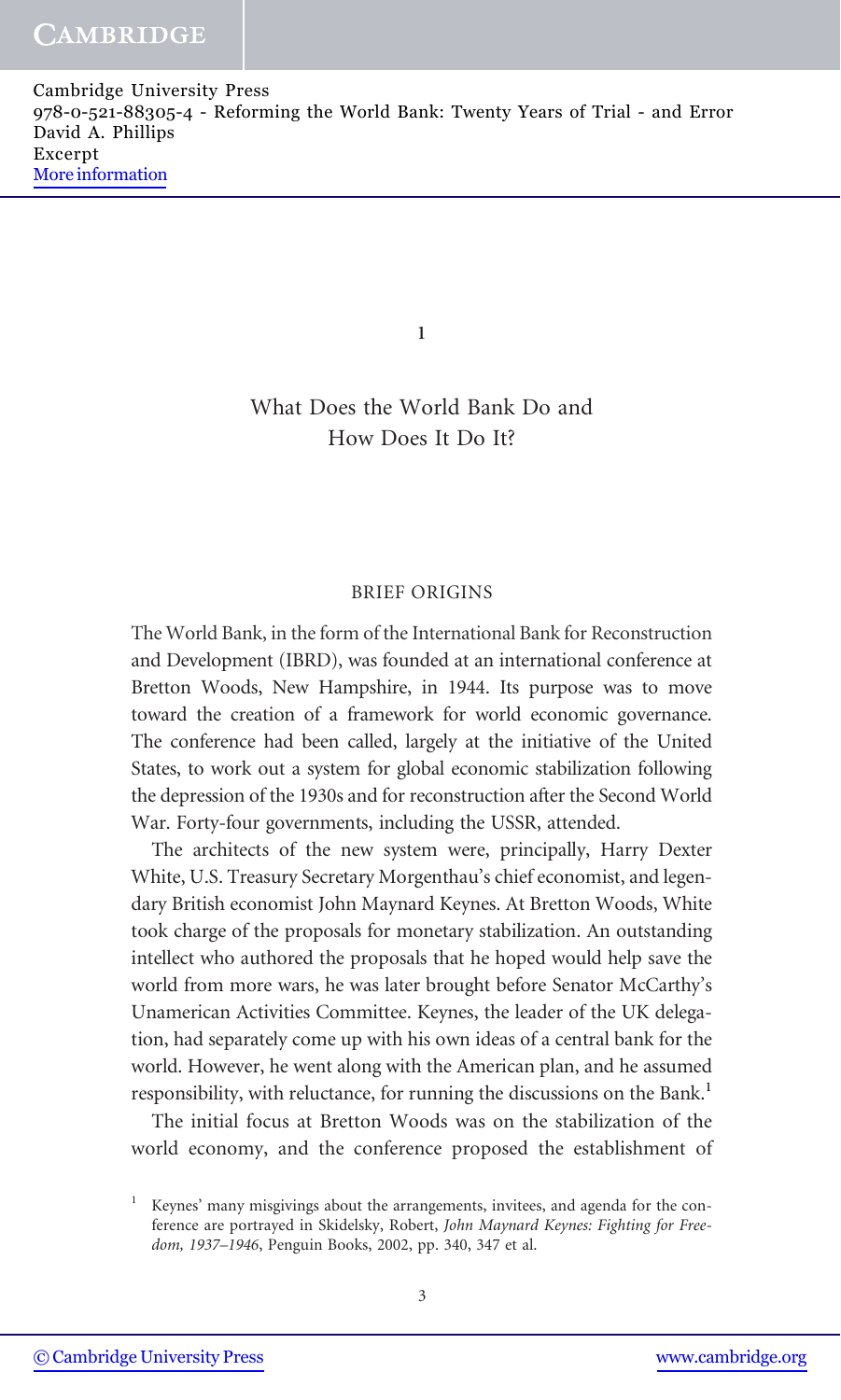1

# What Does the World Bank Do and How Does It Do It?

#### BRIEF ORIGINS

The World Bank, in the form of the International Bank for Reconstruction and Development (IBRD), was founded at an international conference at Bretton Woods, New Hampshire, in 1944. Its purpose was to move toward the creation of a framework for world economic governance. The conference had been called, largely at the initiative of the United States, to work out a system for global economic stabilization following the depression of the 1930s and for reconstruction after the Second World War. Forty-four governments, including the USSR, attended.

The architects of the new system were, principally, Harry Dexter White, U.S. Treasury Secretary Morgenthau's chief economist, and legendary British economist John Maynard Keynes. At Bretton Woods, White took charge of the proposals for monetary stabilization. An outstanding intellect who authored the proposals that he hoped would help save the world from more wars, he was later brought before Senator McCarthy's Unamerican Activities Committee. Keynes, the leader of the UK delegation, had separately come up with his own ideas of a central bank for the world. However, he went along with the American plan, and he assumed responsibility, with reluctance, for running the discussions on the Bank.<sup>1</sup>

The initial focus at Bretton Woods was on the stabilization of the world economy, and the conference proposed the establishment of

<sup>1</sup> Keynes' many misgivings about the arrangements, invitees, and agenda for the conference are portrayed in Skidelsky, Robert, John Maynard Keynes: Fighting for Freedom, 1937–1946, Penguin Books, 2002, pp. 340, 347 et al.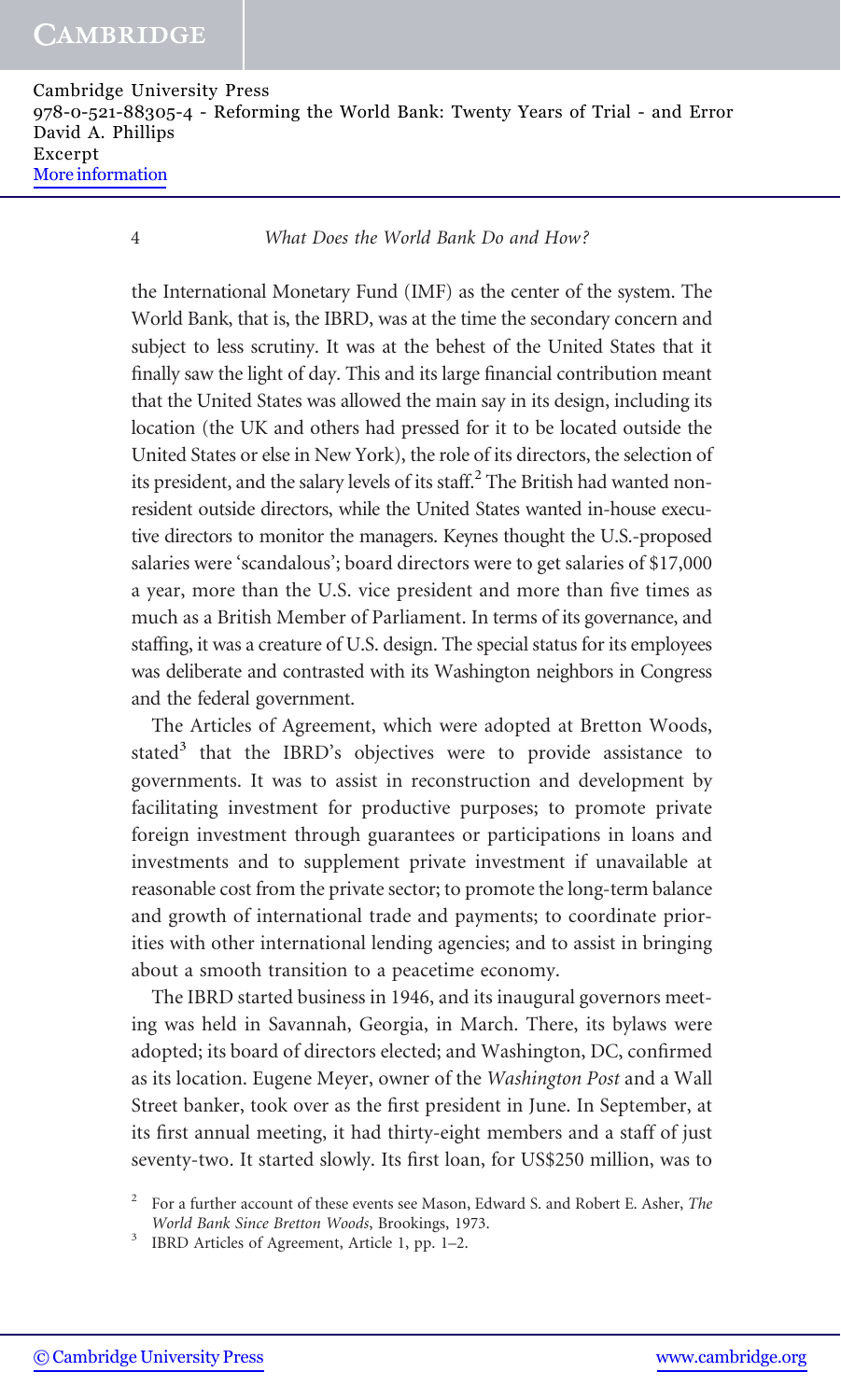4 What Does the World Bank Do and How ?

the International Monetary Fund (IMF) as the center of the system. The World Bank, that is, the IBRD, was at the time the secondary concern and subject to less scrutiny. It was at the behest of the United States that it finally saw the light of day. This and its large financial contribution meant that the United States was allowed the main say in its design, including its location (the UK and others had pressed for it to be located outside the United States or else in New York), the role of its directors, the selection of its president, and the salary levels of its staff. $^2$  The British had wanted nonresident outside directors, while the United States wanted in-house executive directors to monitor the managers. Keynes thought the U.S.-proposed salaries were 'scandalous'; board directors were to get salaries of \$17,000 a year, more than the U.S. vice president and more than five times as much as a British Member of Parliament. In terms of its governance, and staffing, it was a creature of U.S. design. The special status for its employees was deliberate and contrasted with its Washington neighbors in Congress and the federal government.

The Articles of Agreement, which were adopted at Bretton Woods, stated $3$  that the IBRD's objectives were to provide assistance to governments. It was to assist in reconstruction and development by facilitating investment for productive purposes; to promote private foreign investment through guarantees or participations in loans and investments and to supplement private investment if unavailable at reasonable cost from the private sector; to promote the long-term balance and growth of international trade and payments; to coordinate priorities with other international lending agencies; and to assist in bringing about a smooth transition to a peacetime economy.

The IBRD started business in 1946, and its inaugural governors meeting was held in Savannah, Georgia, in March. There, its bylaws were adopted; its board of directors elected; and Washington, DC, confirmed as its location. Eugene Meyer, owner of the Washington Post and a Wall Street banker, took over as the first president in June. In September, at its first annual meeting, it had thirty-eight members and a staff of just seventy-two. It started slowly. Its first loan, for US\$250 million, was to

For a further account of these events see Mason, Edward S. and Robert E. Asher, The World Bank Since Bretton Woods, Brookings, 1973.

 $3$  IBRD Articles of Agreement, Article 1, pp. 1–2.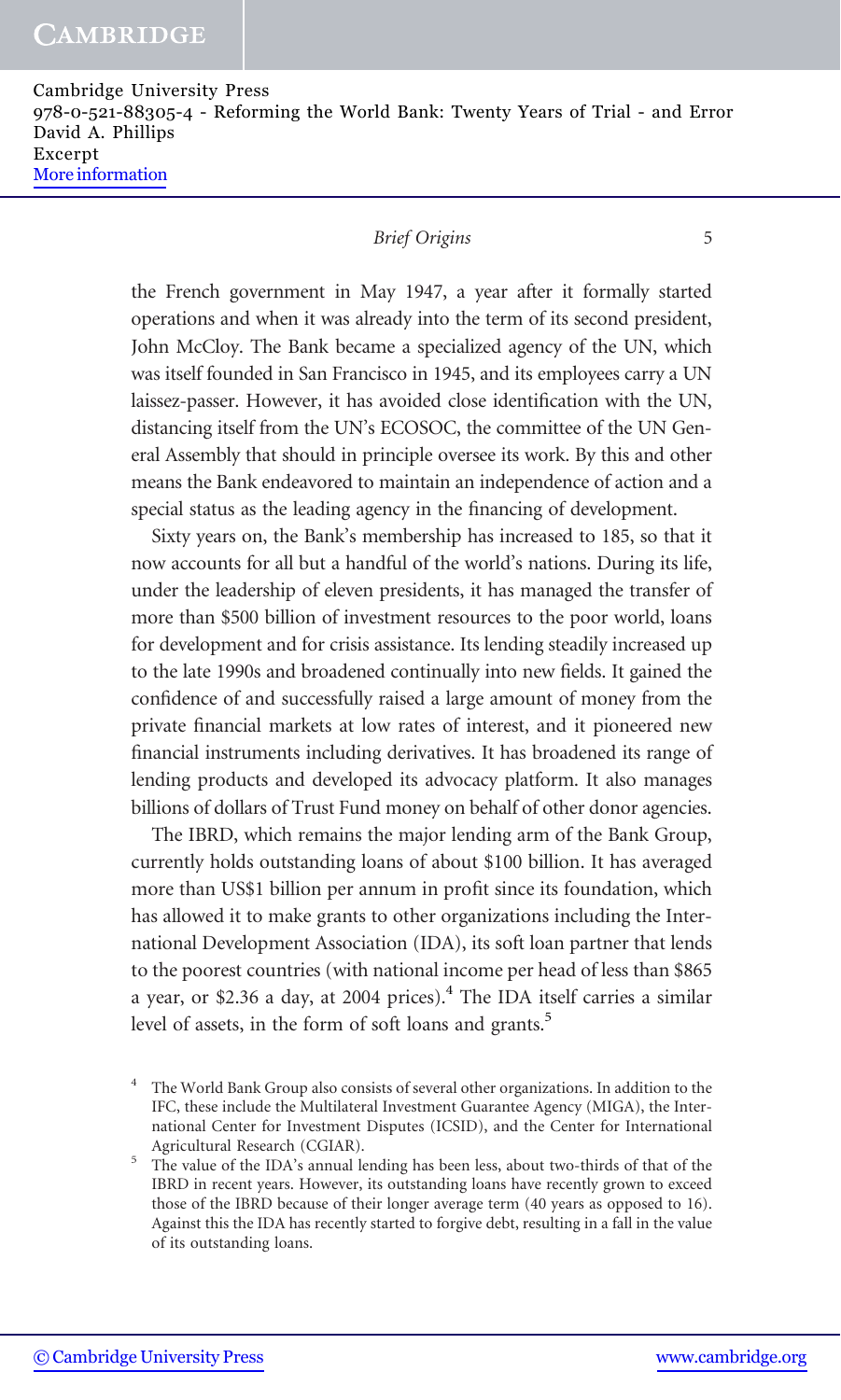### Brief Origins 5

the French government in May 1947, a year after it formally started operations and when it was already into the term of its second president, John McCloy. The Bank became a specialized agency of the UN, which was itself founded in San Francisco in 1945, and its employees carry a UN laissez-passer. However, it has avoided close identification with the UN, distancing itself from the UN's ECOSOC, the committee of the UN General Assembly that should in principle oversee its work. By this and other means the Bank endeavored to maintain an independence of action and a special status as the leading agency in the financing of development.

Sixty years on, the Bank's membership has increased to 185, so that it now accounts for all but a handful of the world's nations. During its life, under the leadership of eleven presidents, it has managed the transfer of more than \$500 billion of investment resources to the poor world, loans for development and for crisis assistance. Its lending steadily increased up to the late 1990s and broadened continually into new fields. It gained the confidence of and successfully raised a large amount of money from the private financial markets at low rates of interest, and it pioneered new financial instruments including derivatives. It has broadened its range of lending products and developed its advocacy platform. It also manages billions of dollars of Trust Fund money on behalf of other donor agencies.

The IBRD, which remains the major lending arm of the Bank Group, currently holds outstanding loans of about \$100 billion. It has averaged more than US\$1 billion per annum in profit since its foundation, which has allowed it to make grants to other organizations including the International Development Association (IDA), its soft loan partner that lends to the poorest countries (with national income per head of less than \$865 a year, or \$2.36 a day, at 2004 prices).<sup>4</sup> The IDA itself carries a similar level of assets, in the form of soft loans and grants.<sup>5</sup>

The World Bank Group also consists of several other organizations. In addition to the IFC, these include the Multilateral Investment Guarantee Agency (MIGA), the International Center for Investment Disputes (ICSID), and the Center for International Agricultural Research (CGIAR).  $^5$  The value of the IDA's annual lending has been less, about two-thirds of that of the  $^{\rm 5}$ 

IBRD in recent years. However, its outstanding loans have recently grown to exceed those of the IBRD because of their longer average term (40 years as opposed to 16). Against this the IDA has recently started to forgive debt, resulting in a fall in the value of its outstanding loans.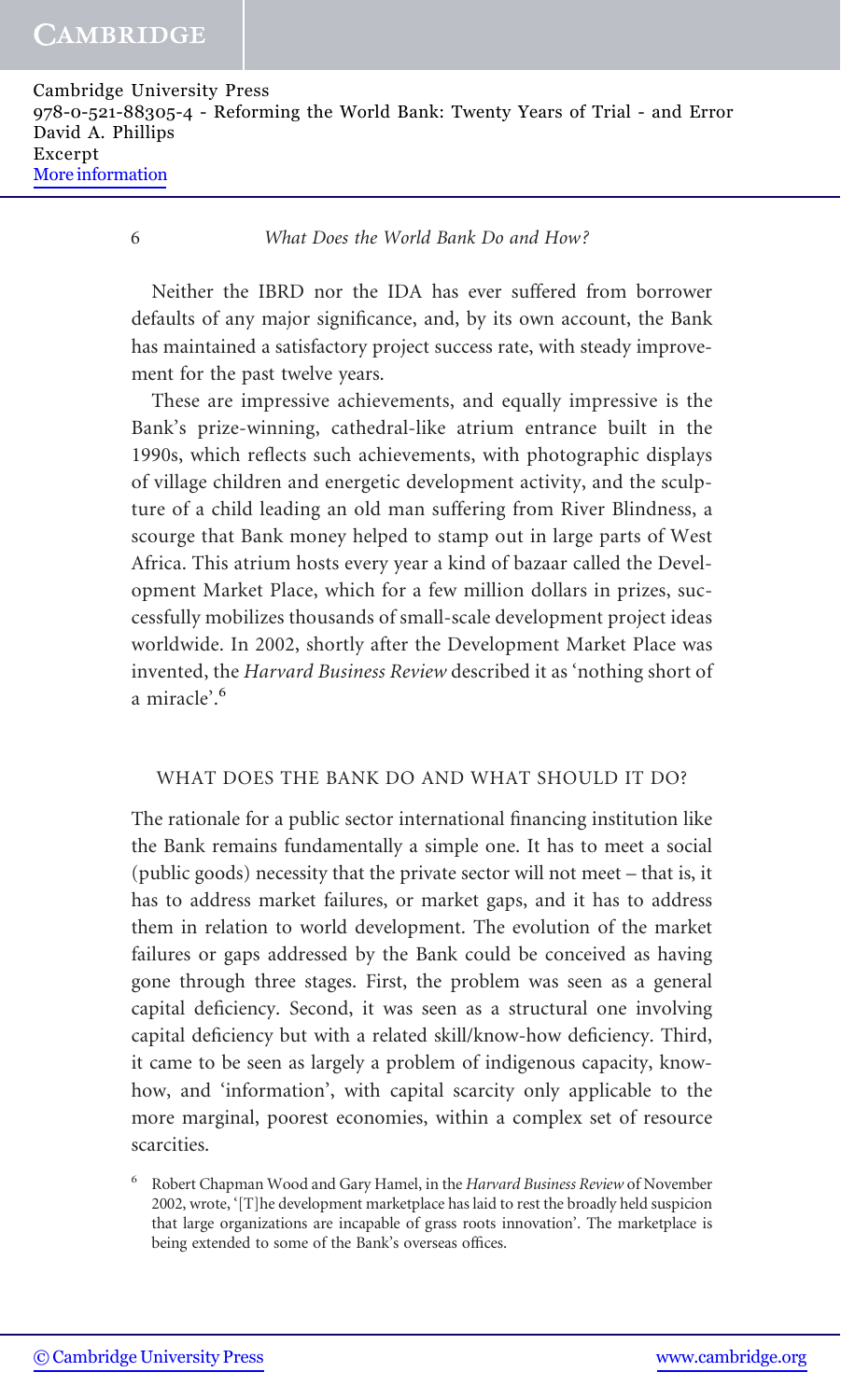6 What Does the World Bank Do and How ?

Neither the IBRD nor the IDA has ever suffered from borrower defaults of any major significance, and, by its own account, the Bank has maintained a satisfactory project success rate, with steady improvement for the past twelve years.

These are impressive achievements, and equally impressive is the Bank's prize-winning, cathedral-like atrium entrance built in the 1990s, which reflects such achievements, with photographic displays of village children and energetic development activity, and the sculpture of a child leading an old man suffering from River Blindness, a scourge that Bank money helped to stamp out in large parts of West Africa. This atrium hosts every year a kind of bazaar called the Development Market Place, which for a few million dollars in prizes, successfully mobilizes thousands of small-scale development project ideas worldwide. In 2002, shortly after the Development Market Place was invented, the Harvard Business Review described it as 'nothing short of a miracle'.<sup>6</sup>

#### WHAT DOES THE BANK DO AND WHAT SHOULD IT DO?

The rationale for a public sector international financing institution like the Bank remains fundamentally a simple one. It has to meet a social (public goods) necessity that the private sector will not meet – that is, it has to address market failures, or market gaps, and it has to address them in relation to world development. The evolution of the market failures or gaps addressed by the Bank could be conceived as having gone through three stages. First, the problem was seen as a general capital deficiency. Second, it was seen as a structural one involving capital deficiency but with a related skill/know-how deficiency. Third, it came to be seen as largely a problem of indigenous capacity, knowhow, and 'information', with capital scarcity only applicable to the more marginal, poorest economies, within a complex set of resource scarcities.

Robert Chapman Wood and Gary Hamel, in the Harvard Business Review of November 2002, wrote, '[T]he development marketplace has laid to rest the broadly held suspicion that large organizations are incapable of grass roots innovation'. The marketplace is being extended to some of the Bank's overseas offices.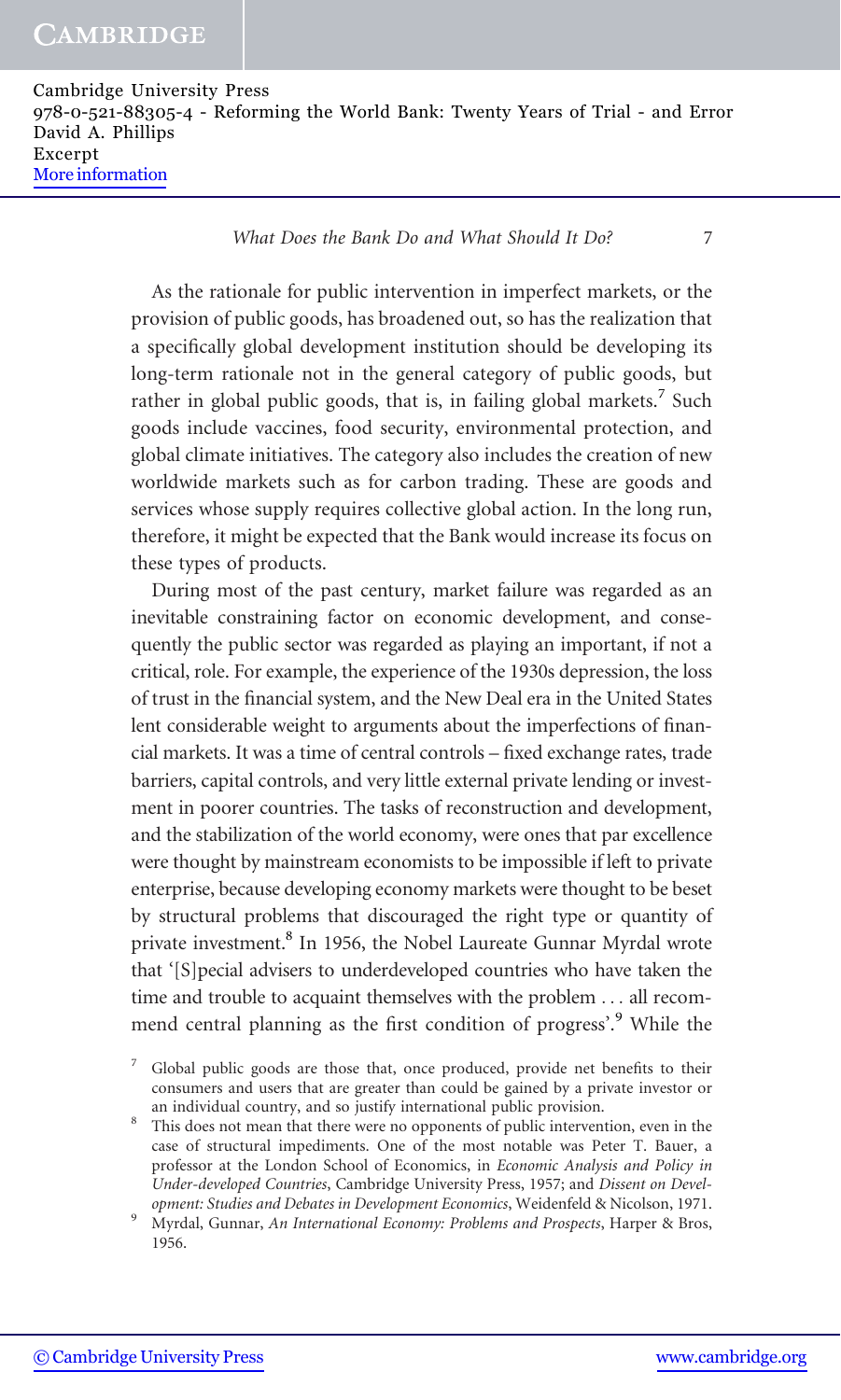What Does the Bank Do and What Should It Do?  $7$ 

As the rationale for public intervention in imperfect markets, or the provision of public goods, has broadened out, so has the realization that a specifically global development institution should be developing its long-term rationale not in the general category of public goods, but rather in global public goods, that is, in failing global markets.<sup>7</sup> Such goods include vaccines, food security, environmental protection, and global climate initiatives. The category also includes the creation of new worldwide markets such as for carbon trading. These are goods and services whose supply requires collective global action. In the long run, therefore, it might be expected that the Bank would increase its focus on these types of products.

During most of the past century, market failure was regarded as an inevitable constraining factor on economic development, and consequently the public sector was regarded as playing an important, if not a critical, role. For example, the experience of the 1930s depression, the loss of trust in the financial system, and the New Deal era in the United States lent considerable weight to arguments about the imperfections of financial markets. It was a time of central controls – fixed exchange rates, trade barriers, capital controls, and very little external private lending or investment in poorer countries. The tasks of reconstruction and development, and the stabilization of the world economy, were ones that par excellence were thought by mainstream economists to be impossible if left to private enterprise, because developing economy markets were thought to be beset by structural problems that discouraged the right type or quantity of private investment.<sup>8</sup> In 1956, the Nobel Laureate Gunnar Myrdal wrote that '[S]pecial advisers to underdeveloped countries who have taken the time and trouble to acquaint themselves with the problem ... all recommend central planning as the first condition of progress<sup>'.9</sup> While the

<sup>&</sup>lt;sup>7</sup> Global public goods are those that, once produced, provide net benefits to their consumers and users that are greater than could be gained by a private investor or

<sup>&</sup>lt;sup>8</sup> This does not mean that there were no opponents of public intervention, even in the case of structural impediments. One of the most notable was Peter T. Bauer, a professor at the London School of Economics, in Economic Analysis and Policy in Under-developed Countries, Cambridge University Press, 1957; and Dissent on Devel-

<sup>%</sup> opment: Studies and Debates in Development Economics, Weidenfeld & Nicolson, 1971.<br>9 Myrdal, Gunnar, An International Economy: Problems and Prospects, Harper & Bros, 1956.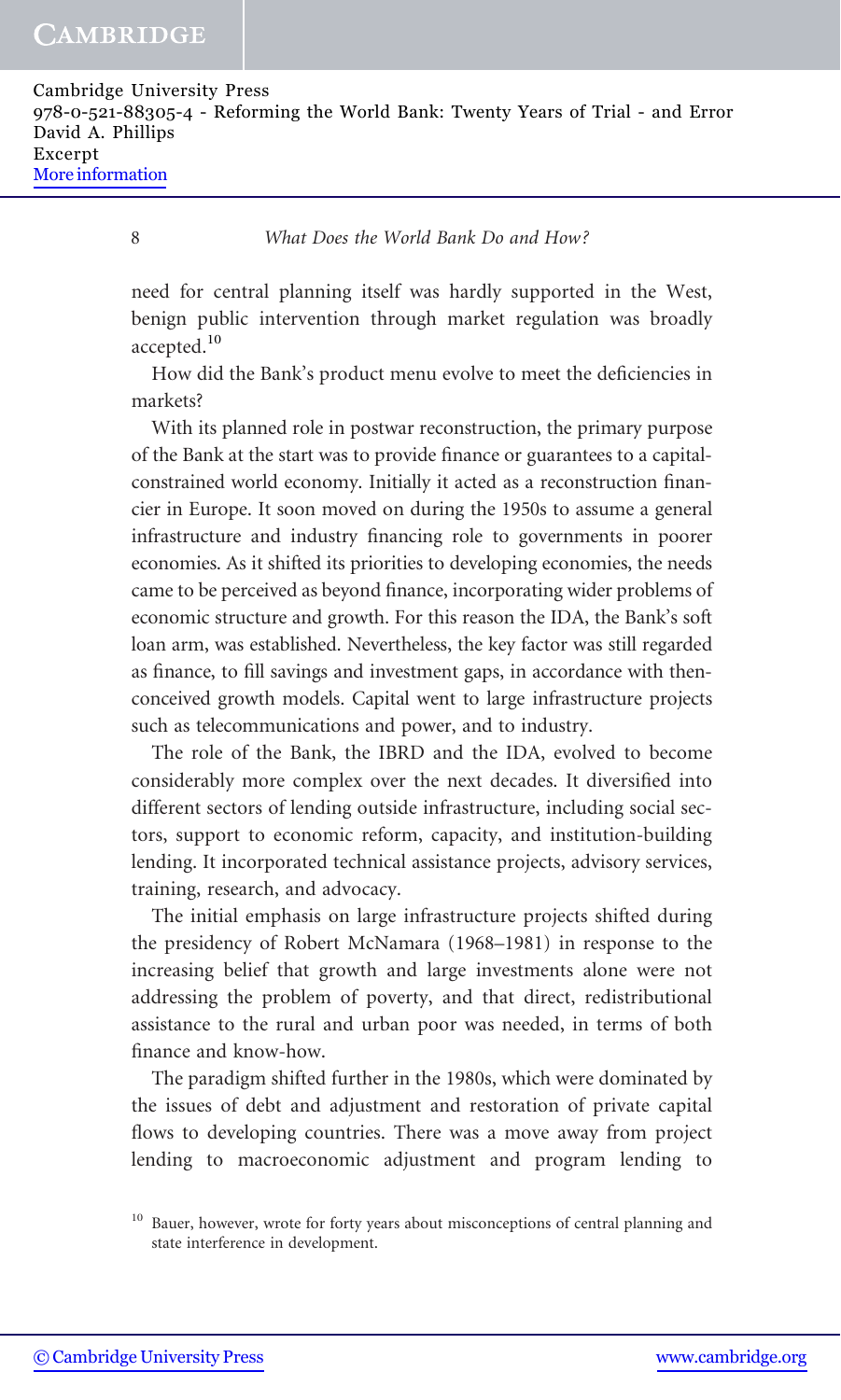| Cambridge University Press                                                      |  |
|---------------------------------------------------------------------------------|--|
| 978-0-521-88305-4 - Reforming the World Bank: Twenty Years of Trial - and Error |  |
| David A. Phillips                                                               |  |
| Excerpt                                                                         |  |
| More information                                                                |  |
|                                                                                 |  |

8 What Does the World Bank Do and How ?

need for central planning itself was hardly supported in the West, benign public intervention through market regulation was broadly accepted.<sup>10</sup>

How did the Bank's product menu evolve to meet the deficiencies in markets?

With its planned role in postwar reconstruction, the primary purpose of the Bank at the start was to provide finance or guarantees to a capitalconstrained world economy. Initially it acted as a reconstruction financier in Europe. It soon moved on during the 1950s to assume a general infrastructure and industry financing role to governments in poorer economies. As it shifted its priorities to developing economies, the needs came to be perceived as beyond finance, incorporating wider problems of economic structure and growth. For this reason the IDA, the Bank's soft loan arm, was established. Nevertheless, the key factor was still regarded as finance, to fill savings and investment gaps, in accordance with thenconceived growth models. Capital went to large infrastructure projects such as telecommunications and power, and to industry.

The role of the Bank, the IBRD and the IDA, evolved to become considerably more complex over the next decades. It diversified into different sectors of lending outside infrastructure, including social sectors, support to economic reform, capacity, and institution-building lending. It incorporated technical assistance projects, advisory services, training, research, and advocacy.

The initial emphasis on large infrastructure projects shifted during the presidency of Robert McNamara (1968–1981) in response to the increasing belief that growth and large investments alone were not addressing the problem of poverty, and that direct, redistributional assistance to the rural and urban poor was needed, in terms of both finance and know-how.

The paradigm shifted further in the 1980s, which were dominated by the issues of debt and adjustment and restoration of private capital flows to developing countries. There was a move away from project lending to macroeconomic adjustment and program lending to

<sup>&</sup>lt;sup>10</sup> Bauer, however, wrote for forty years about misconceptions of central planning and state interference in development.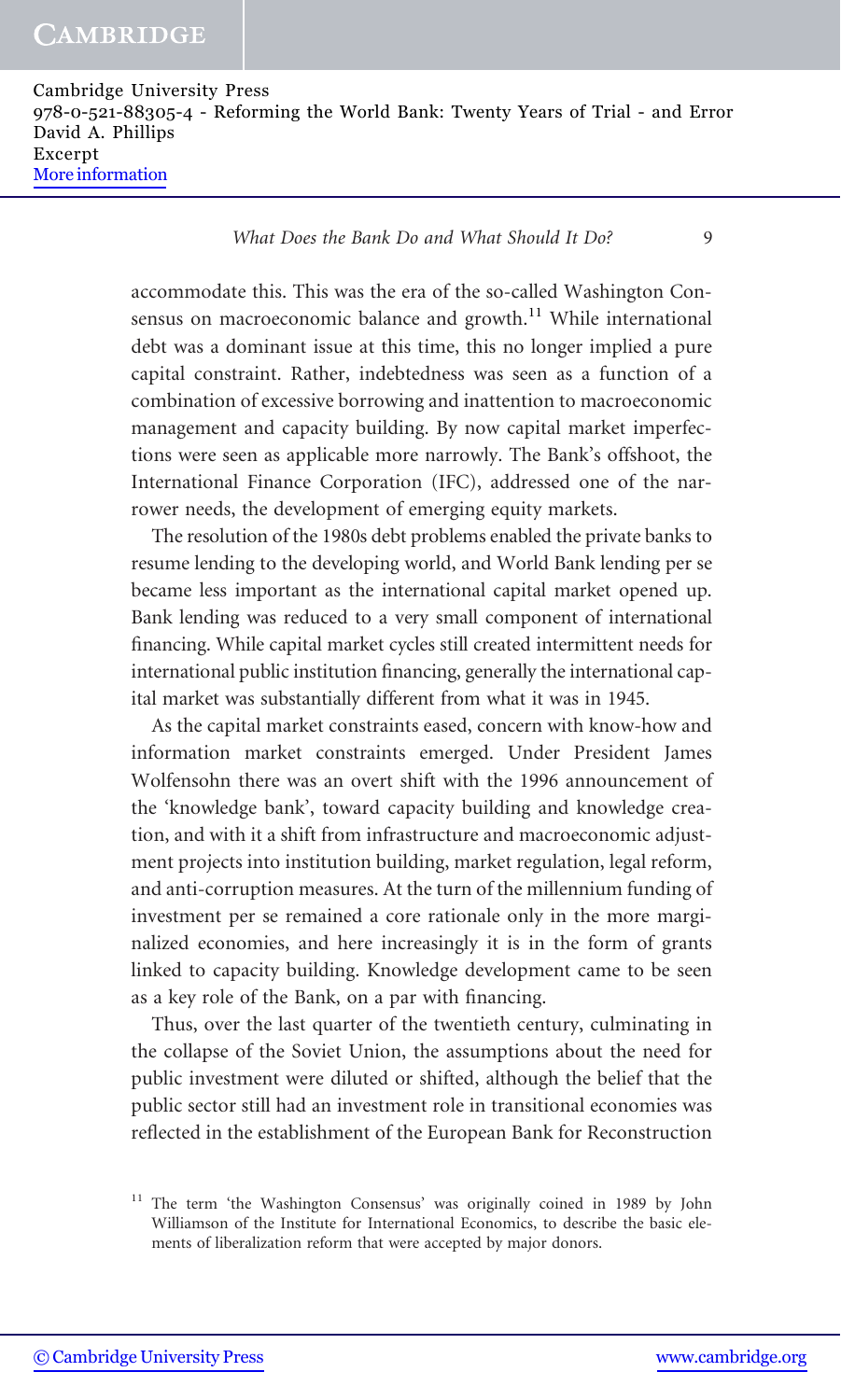What Does the Bank Do and What Should It Do?  $9$ 

accommodate this. This was the era of the so-called Washington Consensus on macroeconomic balance and growth. $11$  While international debt was a dominant issue at this time, this no longer implied a pure capital constraint. Rather, indebtedness was seen as a function of a combination of excessive borrowing and inattention to macroeconomic management and capacity building. By now capital market imperfections were seen as applicable more narrowly. The Bank's offshoot, the International Finance Corporation (IFC), addressed one of the narrower needs, the development of emerging equity markets.

The resolution of the 1980s debt problems enabled the private banks to resume lending to the developing world, and World Bank lending per se became less important as the international capital market opened up. Bank lending was reduced to a very small component of international financing. While capital market cycles still created intermittent needs for international public institution financing, generally the international capital market was substantially different from what it was in 1945.

As the capital market constraints eased, concern with know-how and information market constraints emerged. Under President James Wolfensohn there was an overt shift with the 1996 announcement of the 'knowledge bank', toward capacity building and knowledge creation, and with it a shift from infrastructure and macroeconomic adjustment projects into institution building, market regulation, legal reform, and anti-corruption measures. At the turn of the millennium funding of investment per se remained a core rationale only in the more marginalized economies, and here increasingly it is in the form of grants linked to capacity building. Knowledge development came to be seen as a key role of the Bank, on a par with financing.

Thus, over the last quarter of the twentieth century, culminating in the collapse of the Soviet Union, the assumptions about the need for public investment were diluted or shifted, although the belief that the public sector still had an investment role in transitional economies was reflected in the establishment of the European Bank for Reconstruction

<sup>&</sup>lt;sup>11</sup> The term 'the Washington Consensus' was originally coined in 1989 by John Williamson of the Institute for International Economics, to describe the basic elements of liberalization reform that were accepted by major donors.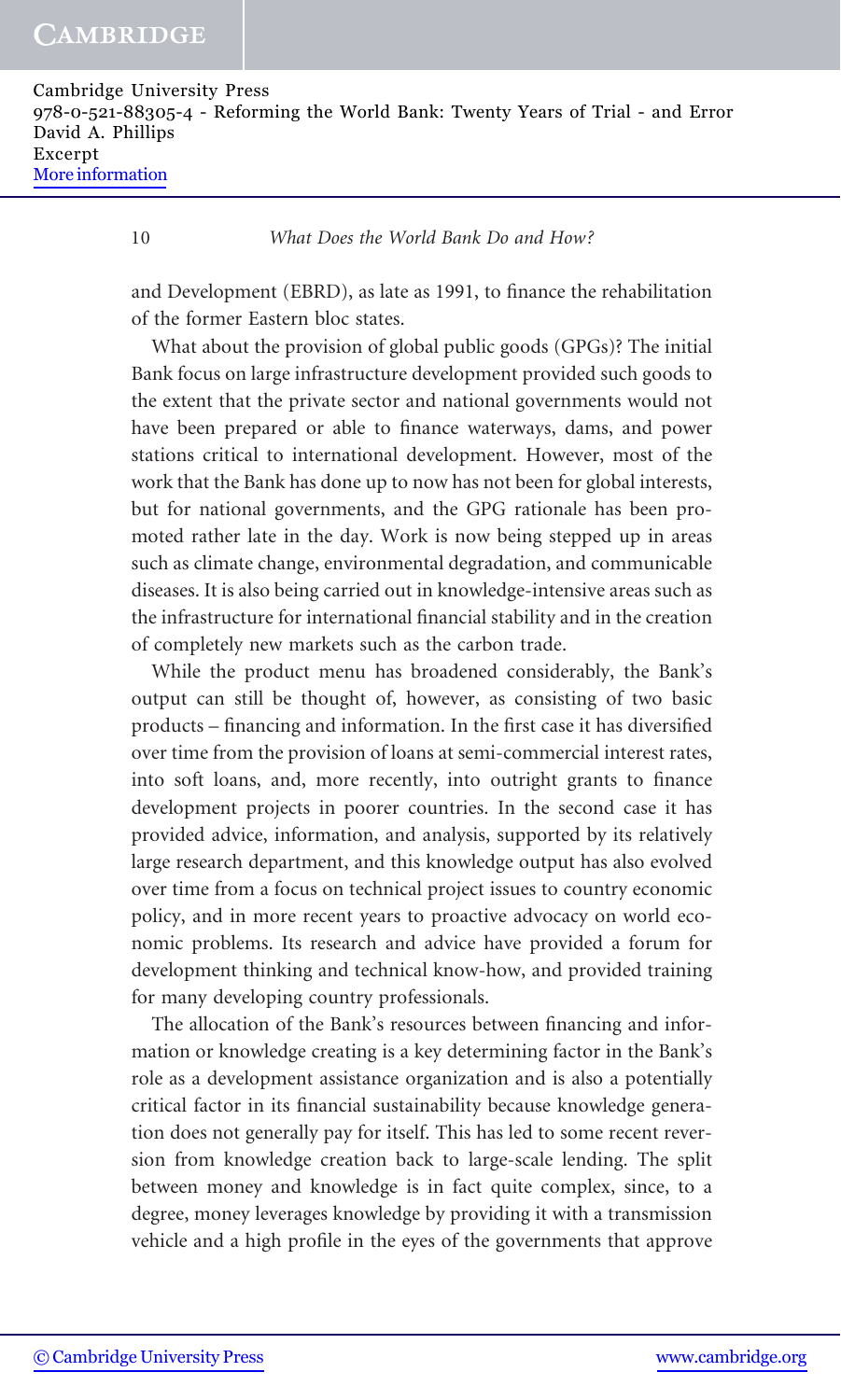10 What Does the World Bank Do and How?

and Development (EBRD), as late as 1991, to finance the rehabilitation of the former Eastern bloc states.

What about the provision of global public goods (GPGs)? The initial Bank focus on large infrastructure development provided such goods to the extent that the private sector and national governments would not have been prepared or able to finance waterways, dams, and power stations critical to international development. However, most of the work that the Bank has done up to now has not been for global interests, but for national governments, and the GPG rationale has been promoted rather late in the day. Work is now being stepped up in areas such as climate change, environmental degradation, and communicable diseases. It is also being carried out in knowledge-intensive areas such as the infrastructure for international financial stability and in the creation of completely new markets such as the carbon trade.

While the product menu has broadened considerably, the Bank's output can still be thought of, however, as consisting of two basic products – financing and information. In the first case it has diversified over time from the provision of loans at semi-commercial interest rates, into soft loans, and, more recently, into outright grants to finance development projects in poorer countries. In the second case it has provided advice, information, and analysis, supported by its relatively large research department, and this knowledge output has also evolved over time from a focus on technical project issues to country economic policy, and in more recent years to proactive advocacy on world economic problems. Its research and advice have provided a forum for development thinking and technical know-how, and provided training for many developing country professionals.

The allocation of the Bank's resources between financing and information or knowledge creating is a key determining factor in the Bank's role as a development assistance organization and is also a potentially critical factor in its financial sustainability because knowledge generation does not generally pay for itself. This has led to some recent reversion from knowledge creation back to large-scale lending. The split between money and knowledge is in fact quite complex, since, to a degree, money leverages knowledge by providing it with a transmission vehicle and a high profile in the eyes of the governments that approve